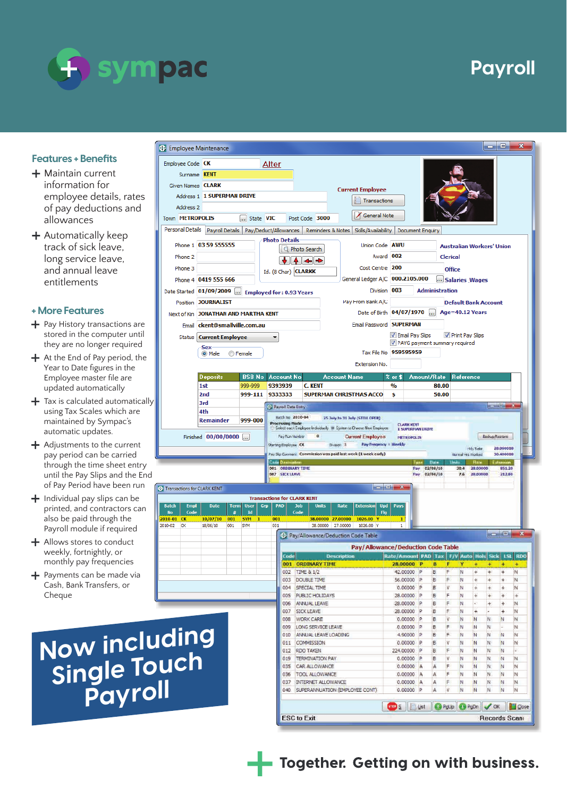

**S** Employee Maintenance

## **Features + Benefits**

- $+$  Maintain current information for employee details, rates of pay deductions and allowances
- $+$  Automatically keep track of sick leave, long service leave, and annual leave entitlements

## **+ More Features**

- Pay History transa ctions a re s t o red in the compu ter u ntil they are no longer required
- At the End of P ay pe rio d, the upd a ted au tom atically Year to Date figures in the Employee master file are
- Tax is calculated automatically| using Tax Scales which a re mai ntained by Sympac 's automatic updates.
- Adjustments to the current p ay pe riod can be carried through the time sheet entry u ntil the P ay Slips and the End of P ay P e riod h a ve been run
- Individual p ay slips can be printed, and contractors can also be paid th rough the P a y roll module if requi red
- Allows stores to conduct wee k l y, fo rtnig htl y, or mo nthly p ay f requencies
- P ayme nts can be made via Cash, Bank T rans fer s, or Cheque



Now including **single Touch P a y r o l l** 

2010-01 CK

 $2010 - 02$  $\overline{C}$ 

- Together. Getting on with business.

## **Payroll**